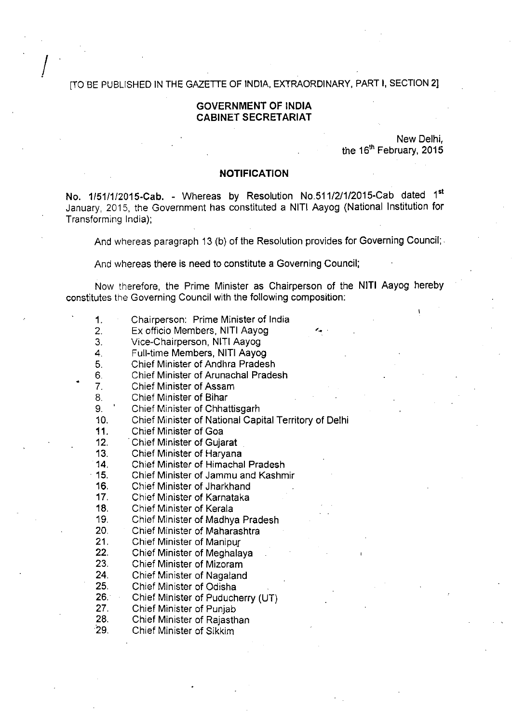#### [TO BE PUBLISHED IN THE GAZETTE OF INDIA, EXTRAORDINARY, PART I, SECTION 2]

### **GOVERNMENT OF INDIA CABINET SECRETARIAT**

New Delhi, the 16" February, 2015

#### **NOTIFICATION**

No. 1/51/1/2015-Cab. - Whereas by Resolution No.511/2/1/2015-Cab dated 1st January, 2015, the Government has constituted a NITI Aayog (National Institution for Transforming India);

And whereas paragraph 13 (b) of the Resolution provides for Governing Council;

And whereas there is need to constitute a Governing Council;

Now therefore, the Prime Minister as Chairperson of the NITI Aayog hereby constitutes the Governing Council with the following composition:

- 1. Chairperson: Prime Minister of India
- 2. Ex officio Members, NITI Aayog
- 3. Vice-Chairperson, NITI Aayog
- 4. Full-time Members, NITI Aayog
- 5. Chief Minister of Andhra Pradesh
- 6. Chief Minister of Arunachal Pradesh
- 7. Chief Minister of Assam
- 8. Chief Minister of Bihar
- 9. ' Chief Minister of Chhattisgarh
- 10. Chief Minister of National Capital Territory of Delhi
- 11. Chief Minister of Goa
- 12. Chief Minister of Gujarat
- 13. Chief Minister of Haryana
- 14. Chief Minister of Himachal Pradesh
- 15. Chief Minister of Jammu and Kashmir
- 16. Chief Minister of Jharkhand
- 17. Chief Minister of Karnataka
- 18. Chief Minister of Kerala
- 19. Chief Minister of Madhya Pradesh
- 20. Chief Minister of Maharashtra
- 21. Chief Minister of Manipur
- 22. Chief Minister of Meghalaya
- 23. Chief Minister of Mizoram
- 24. Chief Minister of Nagaland
- 
- 25. Chief Minister of Odisha<br>26. Chief Minister of Puduch 26. Chief Minister of Puducherry (UT)
- 
- 27. Chief Minister of Punjab
- 28. Chief Minister of Rajasthan
- 29. Chief Minister of Sikkim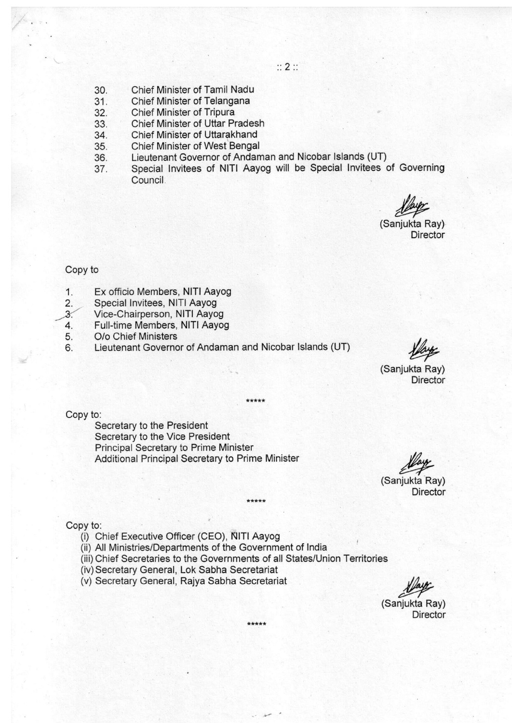- $\mathbb{Z}$  **2**  $\mathbb{Z}$
- 30. Chief Minister of Tamil Nadu
- 31. Chief Minister of Telangana
- 32. Chief Minister of Tripura
- 33. Chief Minister of Uttar Pradesh
- 34. Chief Minister of Uttarakhand
- 35. Chief Minister of West Bengal
- 36. Lieutenant Governor of Andaman and Nicobar Islands (UT)
- 37. Special Invitees of NITI Aayog will be Special Invitees of Governing Council

(Sanjukta Ray) **Director** 

#### Copy to

- 1. Ex officio Members, NITI Aayog
- 2. Special Invitees, NITI Aayog
- Vice-Chairperson, NITI Aayog  $\overline{3}$
- 4. Full-time Members, NITI Aayog
- 5. O/o Chief Ministers
- 6. Lieutenant Governor of Andaman and Nicobar Islands (UT)

(Sanjukta Ray) **Director** 

Copy to:

Secretary to the President Secretary to the Vice President Principal Secretary to Prime Minister Additional Principal Secretary to Prime Minister

(Sanjukta Ray) **Director** 

Copy to:

- (i) Chief Executive Officer (CEO), NITI Aayog
- (ii) All Ministries/Departments of the Government of India
- (iii) Chief Secretaries to the Governments of all States/Union Territories

\*\*\*\*\*

\*\*\*\*\*

- (iv) Secretary General, Lok Sabha Secretariat
- (v) Secretary General, Rajya Sabha Secretariat

(Sanjukta Ray) **Director**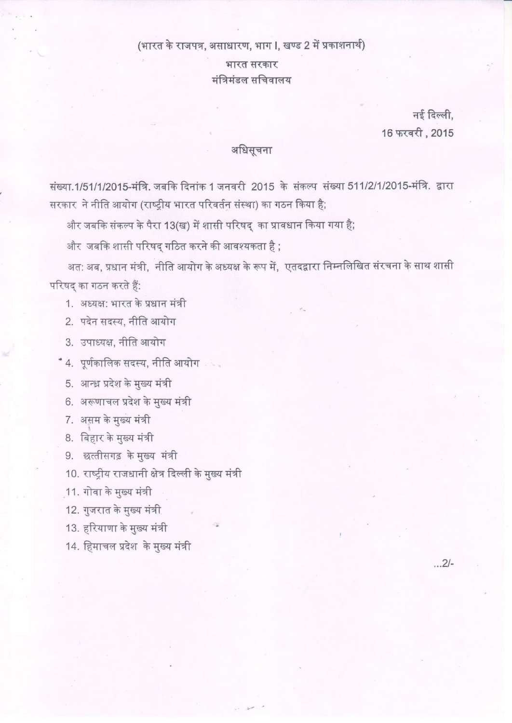### (भारत के राजपत्र, असाधारण, भाग ।, खण्ड 2 में प्रकाशनार्थ)

भारत सरकार मंत्रिमंडल सचिवालय

> नई दिल्ली. 16 फरवरी, 2015

## अधिसूचना

संख्या.1/51/1/2015-मंत्रि. जबकि दिनांक 1 जनवरी 2015 के संकल्प संख्या 511/2/1/2015-मंत्रि. द्वारा सरकार ने नीति आयोग (राष्ट्रीय भारत परिवर्तन संस्था) का गठन किया है;

और जबकि संकल्प के पैरा 13(ख) में शासी परिषद् का प्रावधान किया गया है;

और जबकि शासी परिषद् गठित करने की आवश्यकता है;

अत: अब, प्रधान मंत्री, नीति आयोग के अध्यक्ष के रूप में, एतदद्वारा निम्नलिखित संरचना के साथ शासी परिषद् का गठन करते हैं:

1. अध्यक्ष: भारत के प्रधान मंत्री

2. पदेन सदस्य, नीति आयोग

3. उपाध्यक्ष, नीति आयोग

\* 4. पूर्णकालिक सदस्य, नीति आयोग

5. आन्ध्र प्रदेश के मुख्य मंत्री

6. अरूणाचल प्रदेश के मुख्य मंत्री

7. असम के मुख्य मंत्री

 $\frac{1}{2}$ 8. ⊺बहार क मुख्य मत्रा

9. छत्तीसगढ़ के मुख्य मंत्री

10. राष्ट्रीय राजधानी क्षेत्र दिल्ली के मुख्य मंत्री

11. गोवा के मुख्य मंत्री

12. गुजरात के मुख्य मंत्र<u>ी</u>

13. हरियाणा के मुख्य मंत्री

14. हिमाचल प्रदेश के मुख्य मंत्री

...2/-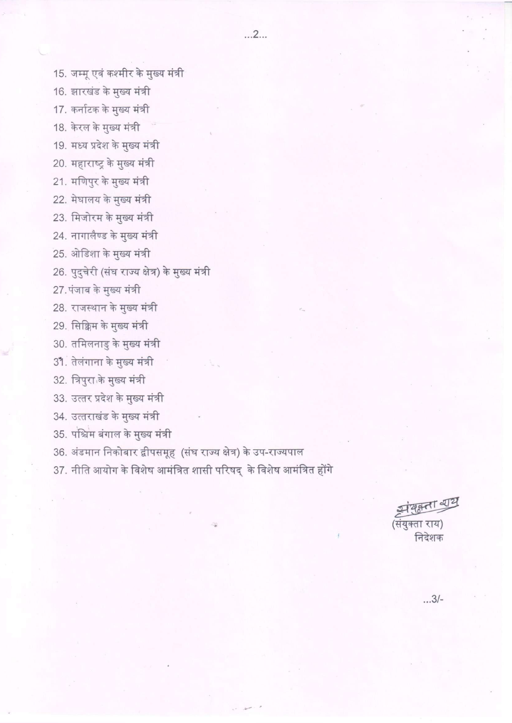15. जम्मू एवं कश्मीर के मुख्य मंत्री

16. झारखंड के मुख्य मंत्री

17. कर्नाटक के मुख्य मंत्री

18. केरल के मुख्य मंत्री

19. मध्य प्रदेश के मुख्य मंत्री

20. महाराष्ट्र के मुख्य मंत्री

21. मणिपुर के मुख्य मंत्री

22. मेघालय के मुख्य मंत्री

23. मिजोरम के मुख्य मंत्री

24. नागालैण्ड के मुख्य मंत्री

25. ओडिशा के मुख्य मंत्री

26. पुदुचेरी (संघ राज्य क्षेत्र) के मुख्य मंत्री

27. पंजाब के मुख्य मंत्री

28. राजस्थान के मुख्य मंत्री

29. सिक्किम के मुख्य मंत्री

30. तमिलनाडु के मुख्य मंत्री

31. तेलंगाना के मुख्य मंत्री

32. त्रिपुरा के मुख्य मंत्री

33. उत्तर प्रदेश के मुख्य मंत्री

34. उत्तराखंड के मुख्य मंत्री

35. पश्चिम बंगाल के मुख्य मंत्री

36. अंडमान निकोबार द्वीपसमूह (संघ राज्य क्षेत्र) के उप-राज्यपाल

37. नीति आयोग के विशेष आमंत्रित शासी परिषद् के विशेष आमंत्रित होंगे

संयुक्ता शय (संयुक्ता राय) निदेशक